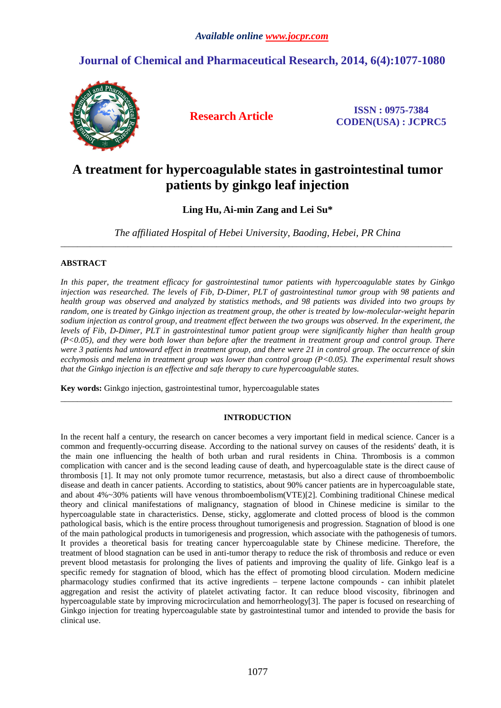## **Journal of Chemical and Pharmaceutical Research, 2014, 6(4):1077-1080**



**Research Article ISSN : 0975-7384 CODEN(USA) : JCPRC5**

# **A treatment for hypercoagulable states in gastrointestinal tumor patients by ginkgo leaf injection**

**Ling Hu, Ai-min Zang and Lei Su\***

*The affiliated Hospital of Hebei University, Baoding, Hebei, PR China*  \_\_\_\_\_\_\_\_\_\_\_\_\_\_\_\_\_\_\_\_\_\_\_\_\_\_\_\_\_\_\_\_\_\_\_\_\_\_\_\_\_\_\_\_\_\_\_\_\_\_\_\_\_\_\_\_\_\_\_\_\_\_\_\_\_\_\_\_\_\_\_\_\_\_\_\_\_\_\_\_\_\_\_\_\_\_\_\_\_\_\_\_\_

## **ABSTRACT**

*In this paper, the treatment efficacy for gastrointestinal tumor patients with hypercoagulable states by Ginkgo injection was researched. The levels of Fib, D-Dimer, PLT of gastrointestinal tumor group with 98 patients and health group was observed and analyzed by statistics methods, and 98 patients was divided into two groups by random, one is treated by Ginkgo injection as treatment group, the other is treated by low-molecular-weight heparin sodium injection as control group, and treatment effect between the two groups was observed. In the experiment, the levels of Fib, D-Dimer, PLT in gastrointestinal tumor patient group were significantly higher than health group (P<0.05), and they were both lower than before after the treatment in treatment group and control group. There were 3 patients had untoward effect in treatment group, and there were 21 in control group. The occurrence of skin ecchymosis and melena in treatment group was lower than control group (P<0.05). The experimental result shows that the Ginkgo injection is an effective and safe therapy to cure hypercoagulable states.* 

**Key words:** Ginkgo injection, gastrointestinal tumor, hypercoagulable states

## **INTRODUCTION**

\_\_\_\_\_\_\_\_\_\_\_\_\_\_\_\_\_\_\_\_\_\_\_\_\_\_\_\_\_\_\_\_\_\_\_\_\_\_\_\_\_\_\_\_\_\_\_\_\_\_\_\_\_\_\_\_\_\_\_\_\_\_\_\_\_\_\_\_\_\_\_\_\_\_\_\_\_\_\_\_\_\_\_\_\_\_\_\_\_\_\_\_\_

In the recent half a century, the research on cancer becomes a very important field in medical science. Cancer is a common and frequently-occurring disease. According to the national survey on causes of the residents' death, it is the main one influencing the health of both urban and rural residents in China. Thrombosis is a common complication with cancer and is the second leading cause of death, and hypercoagulable state is the direct cause of thrombosis [1]. It may not only promote tumor recurrence, metastasis, but also a direct cause of thromboembolic disease and death in cancer patients. According to statistics, about 90% cancer patients are in hypercoagulable state, and about 4%~30% patients will have venous thromboembolism(VTE)[2]. Combining traditional Chinese medical theory and clinical manifestations of malignancy, stagnation of blood in Chinese medicine is similar to the hypercoagulable state in characteristics. Dense, sticky, agglomerate and clotted process of blood is the common pathological basis, which is the entire process throughout tumorigenesis and progression. Stagnation of blood is one of the main pathological products in tumorigenesis and progression, which associate with the pathogenesis of tumors. It provides a theoretical basis for treating cancer hypercoagulable state by Chinese medicine. Therefore, the treatment of blood stagnation can be used in anti-tumor therapy to reduce the risk of thrombosis and reduce or even prevent blood metastasis for prolonging the lives of patients and improving the quality of life. Ginkgo leaf is a specific remedy for stagnation of blood, which has the effect of promoting blood circulation. Modern medicine pharmacology studies confirmed that its active ingredients – terpene lactone compounds - can inhibit platelet aggregation and resist the activity of platelet activating factor. It can reduce blood viscosity, fibrinogen and hypercoagulable state by improving microcirculation and hemorrheology[3]. The paper is focused on researching of Ginkgo injection for treating hypercoagulable state by gastrointestinal tumor and intended to provide the basis for clinical use.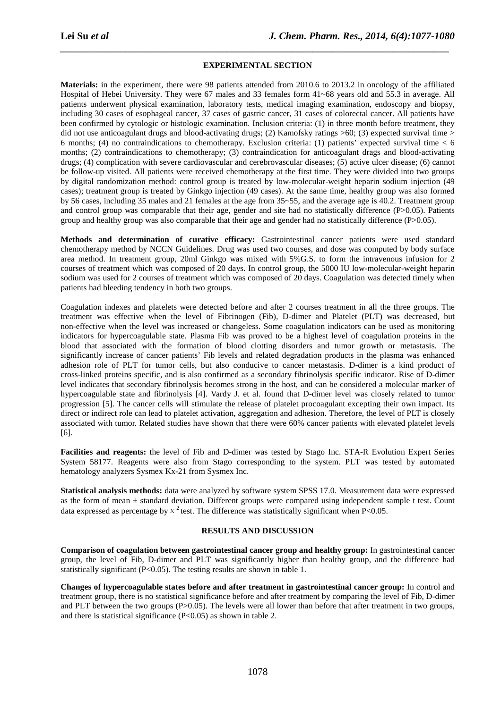#### **EXPERIMENTAL SECTION**

*\_\_\_\_\_\_\_\_\_\_\_\_\_\_\_\_\_\_\_\_\_\_\_\_\_\_\_\_\_\_\_\_\_\_\_\_\_\_\_\_\_\_\_\_\_\_\_\_\_\_\_\_\_\_\_\_\_\_\_\_\_\_\_\_\_\_\_\_\_\_\_\_\_\_\_\_\_*

**Materials:** in the experiment, there were 98 patients attended from 2010.6 to 2013.2 in oncology of the affiliated Hospital of Hebei University. They were 67 males and 33 females form 41~68 years old and 55.3 in average. All patients underwent physical examination, laboratory tests, medical imaging examination, endoscopy and biopsy, including 30 cases of esophageal cancer, 37 cases of gastric cancer, 31 cases of colorectal cancer. All patients have been confirmed by cytologic or histologic examination. Inclusion criteria: (1) in three month before treatment, they did not use anticoagulant drugs and blood-activating drugs; (2) Kamofsky ratings  $>60$ ; (3) expected survival time  $>$ 6 months; (4) no contraindications to chemotherapy. Exclusion criteria: (1) patients' expected survival time  $<$  6 months; (2) contraindications to chemotherapy; (3) contraindication for anticoagulant drags and blood-activating drugs; (4) complication with severe cardiovascular and cerebrovascular diseases; (5) active ulcer disease; (6) cannot be follow-up visited. All patients were received chemotherapy at the first time. They were divided into two groups by digital randomization method: control group is treated by low-molecular-weight heparin sodium injection (49 cases); treatment group is treated by Ginkgo injection (49 cases). At the same time, healthy group was also formed by 56 cases, including 35 males and 21 females at the age from 35~55, and the average age is 40.2. Treatment group and control group was comparable that their age, gender and site had no statistically difference (P>0.05). Patients group and healthy group was also comparable that their age and gender had no statistically difference (P>0.05).

**Methods and determination of curative efficacy:** Gastrointestinal cancer patients were used standard chemotherapy method by NCCN Guidelines. Drug was used two courses, and dose was computed by body surface area method. In treatment group, 20ml Ginkgo was mixed with 5%G.S. to form the intravenous infusion for 2 courses of treatment which was composed of 20 days. In control group, the 5000 IU low-molecular-weight heparin sodium was used for 2 courses of treatment which was composed of 20 days. Coagulation was detected timely when patients had bleeding tendency in both two groups.

Coagulation indexes and platelets were detected before and after 2 courses treatment in all the three groups. The treatment was effective when the level of Fibrinogen (Fib), D-dimer and Platelet (PLT) was decreased, but non-effective when the level was increased or changeless. Some coagulation indicators can be used as monitoring indicators for hypercoagulable state. Plasma Fib was proved to be a highest level of coagulation proteins in the blood that associated with the formation of blood clotting disorders and tumor growth or metastasis. The significantly increase of cancer patients' Fib levels and related degradation products in the plasma was enhanced adhesion role of PLT for tumor cells, but also conducive to cancer metastasis. D-dimer is a kind product of cross-linked proteins specific, and is also confirmed as a secondary fibrinolysis specific indicator. Rise of D-dimer level indicates that secondary fibrinolysis becomes strong in the host, and can be considered a molecular marker of hypercoagulable state and fibrinolysis [4]. Vardy J. et al. found that D-dimer level was closely related to tumor progression [5]. The cancer cells will stimulate the release of platelet procoagulant excepting their own impact. Its direct or indirect role can lead to platelet activation, aggregation and adhesion. Therefore, the level of PLT is closely associated with tumor. Related studies have shown that there were 60% cancer patients with elevated platelet levels [6].

**Facilities and reagents:** the level of Fib and D-dimer was tested by Stago Inc. STA-R Evolution Expert Series System 58177. Reagents were also from Stago corresponding to the system. PLT was tested by automated hematology analyzers Sysmex Kx-21 from Sysmex Inc.

**Statistical analysis methods:** data were analyzed by software system SPSS 17.0. Measurement data were expressed as the form of mean ± standard deviation. Different groups were compared using independent sample t test. Count data expressed as percentage by  $x^2$  test. The difference was statistically significant when P<0.05.

## **RESULTS AND DISCUSSION**

**Comparison of coagulation between gastrointestinal cancer group and healthy group:** In gastrointestinal cancer group, the level of Fib, D-dimer and PLT was significantly higher than healthy group, and the difference had statistically significant  $(P<0.05)$ . The testing results are shown in table 1.

**Changes of hypercoagulable states before and after treatment in gastrointestinal cancer group:** In control and treatment group, there is no statistical significance before and after treatment by comparing the level of Fib, D-dimer and PLT between the two groups (P>0.05). The levels were all lower than before that after treatment in two groups, and there is statistical significance (P<0.05) as shown in table 2.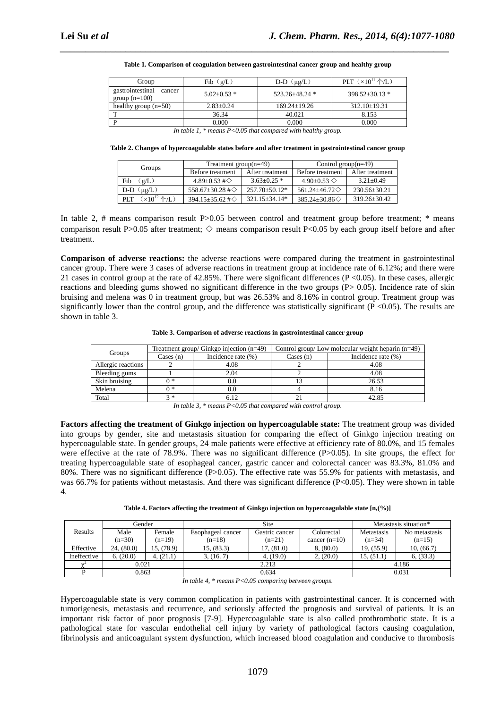| Group                                         | Fib (g/L)    | $D-D$ ( $\mu$ g/L) | PLT $(x10^{11} \text{ A/L})$ |
|-----------------------------------------------|--------------|--------------------|------------------------------|
| gastrointestinal<br>cancer<br>group $(n=100)$ | $5.02+0.53*$ | $523.26 + 48.24$ * | $398.52 + 30.13$ *           |
| healthy group $(n=50)$                        | $2.83+0.24$  | $169.24 + 19.26$   | $312.10 \pm 19.31$           |
| m                                             | 36.34        | 40.021             | 8.153                        |
|                                               | 0.000        | 0.000              | 0.000                        |

|  |  |  |  |  | Table 1. Comparison of coagulation between gastrointestinal cancer group and healthy group |  |
|--|--|--|--|--|--------------------------------------------------------------------------------------------|--|
|--|--|--|--|--|--------------------------------------------------------------------------------------------|--|

*\_\_\_\_\_\_\_\_\_\_\_\_\_\_\_\_\_\_\_\_\_\_\_\_\_\_\_\_\_\_\_\_\_\_\_\_\_\_\_\_\_\_\_\_\_\_\_\_\_\_\_\_\_\_\_\_\_\_\_\_\_\_\_\_\_\_\_\_\_\_\_\_\_\_\_\_\_*

*In table 1, \* means P<0.05 that compared with healthy group.* 

**Table 2. Changes of hypercoagulable states before and after treatment in gastrointestinal cancer group**

| Groups                                     | Treatment group $(n=49)$        |                     | Control group $(n=49)$        |                    |  |
|--------------------------------------------|---------------------------------|---------------------|-------------------------------|--------------------|--|
|                                            | Before treatment                | After treatment     | Before treatment              | After treatment    |  |
| $g/L$ )<br>Fib                             | $4.89 \pm 0.53 \pm \circ$       | $3.63 \pm 0.25$ *   | $4.90 + 0.53$ $\diamond$      | $3.21 \pm 0.49$    |  |
| $(\mu g/L)$<br>D-D                         | 558.67 $\pm$ 30.28 # $\diamond$ | $257.70 \pm 50.12*$ | 561.24 $\pm$ 46.72 $\diamond$ | $230.56 \pm 30.21$ |  |
| $(x10^{12}$ $\uparrow$ $(L)$<br><b>PLT</b> | 394.15 $\pm$ 35.62# $\diamond$  | $321.15 + 34.14*$   | $385.24 \pm 30.86$            | $319.26 \pm 30.42$ |  |

In table 2, # means comparison result  $P > 0.05$  between control and treatment group before treatment; \* means comparison result P $>0.05$  after treatment;  $\diamond$  means comparison result P $< 0.05$  by each group itself before and after treatment.

**Comparison of adverse reactions:** the adverse reactions were compared during the treatment in gastrointestinal cancer group. There were 3 cases of adverse reactions in treatment group at incidence rate of 6.12%; and there were 21 cases in control group at the rate of  $42.85\%$ . There were significant differences (P < 0.05). In these cases, allergic reactions and bleeding gums showed no significant difference in the two groups (P> 0.05). Incidence rate of skin bruising and melena was 0 in treatment group, but was 26.53% and 8.16% in control group. Treatment group was significantly lower than the control group, and the difference was statistically significant ( $P < 0.05$ ). The results are shown in table 3.

**Table 3. Comparison of adverse reactions in gastrointestinal cancer group** 

|                    |           | Treatment group/ Ginkgo injection (n=49) | Control group/Low molecular weight heparin $(n=49)$ |                        |  |
|--------------------|-----------|------------------------------------------|-----------------------------------------------------|------------------------|--|
| Groups             | Cases (n) | Incidence rate $(\%)$                    | $\text{Cases}$ (n)                                  | Incidence rate $(\% )$ |  |
| Allergic reactions |           | 4.08                                     |                                                     | 4.08                   |  |
| Bleeding gums      |           | 2.04                                     |                                                     | 4.08                   |  |
| Skin bruising      | ∩ *       |                                          |                                                     | 26.53                  |  |
| Melena             | ∩ *       | 0.0                                      |                                                     | 8.16                   |  |
| Total              | マ*        | 6.12                                     |                                                     | 42.85                  |  |

*In table 3, \* means P<0.05 that compared with control group.* 

**Factors affecting the treatment of Ginkgo injection on hypercoagulable state:** The treatment group was divided into groups by gender, site and metastasis situation for comparing the effect of Ginkgo injection treating on hypercoagulable state. In gender groups, 24 male patients were effective at efficiency rate of 80.0%, and 15 females were effective at the rate of 78.9%. There was no significant difference (P>0.05). In site groups, the effect for treating hypercoagulable state of esophageal cancer, gastric cancer and colorectal cancer was 83.3%, 81.0% and 80%. There was no significant difference (P>0.05). The effective rate was 55.9% for patients with metastasis, and was 66.7% for patients without metastasis. And there was significant difference  $(P<0.05)$ . They were shown in table 4.

| Table 4. Factors affecting the treatment of Ginkgo injection on hypercoagulable state $[n, (\%)]$ |  |  |  |
|---------------------------------------------------------------------------------------------------|--|--|--|
|---------------------------------------------------------------------------------------------------|--|--|--|

|             | Gender        |            | Site              |                | Metastasis situation* |                   |               |
|-------------|---------------|------------|-------------------|----------------|-----------------------|-------------------|---------------|
| Results     | Male          | Female     | Esophageal cancer | Gastric cancer | Colorectal            | <b>Metastasis</b> | No metastasis |
|             | $(n=30)$      | $(n=19)$   | $(n=18)$          | $(n=21)$       | cancer $(n=10)$       | $(n=34)$          | $(n=15)$      |
| Effective   | (80.0)<br>24. | 15, (78.9) | 15, (83.3)        | 17, (81.0)     | 8, (80.0)             | 19, (55.9)        | 10, (66.7)    |
| Ineffective | 6, (20.0)     | 4, (21.1)  | 3, (16, 7)        | 4, (19.0)      | 2, (20.0)             | 15, (51.1)        | 6, (33.3)     |
|             | 0.021         |            | 2.213             |                |                       | 4.186             |               |
|             | 0.863         |            | 0.634             |                | 0.031                 |                   |               |

*In table 4, \* means P<0.05 comparing between groups.* 

Hypercoagulable state is very common complication in patients with gastrointestinal cancer. It is concerned with tumorigenesis, metastasis and recurrence, and seriously affected the prognosis and survival of patients. It is an important risk factor of poor prognosis [7-9]. Hypercoagulable state is also called prothrombotic state. It is a pathological state for vascular endothelial cell injury by variety of pathological factors causing coagulation, fibrinolysis and anticoagulant system dysfunction, which increased blood coagulation and conducive to thrombosis